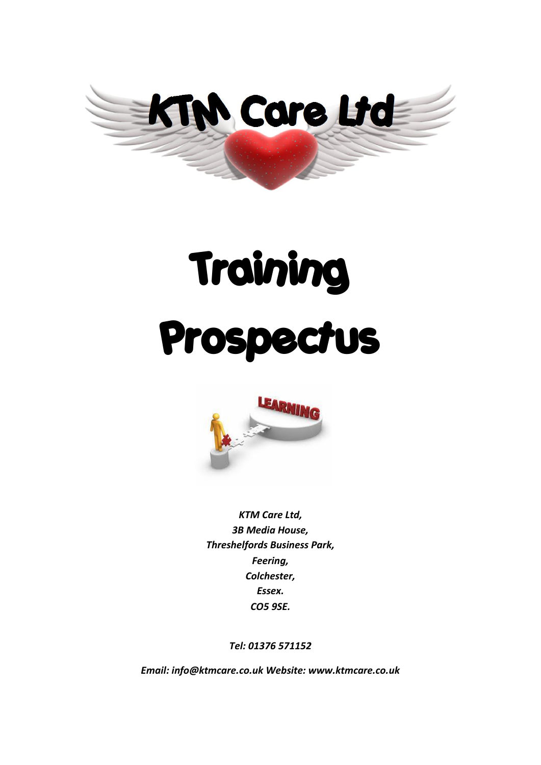

# Training Prospectus



*KTM Care Ltd, 3B Media House, Threshelfords Business Park, Feering, Colchester, Essex. CO5 9SE.*

*Tel: 01376 571152*

*Email: info@ktmcare.co.uk Website: www.ktmcare.co.uk*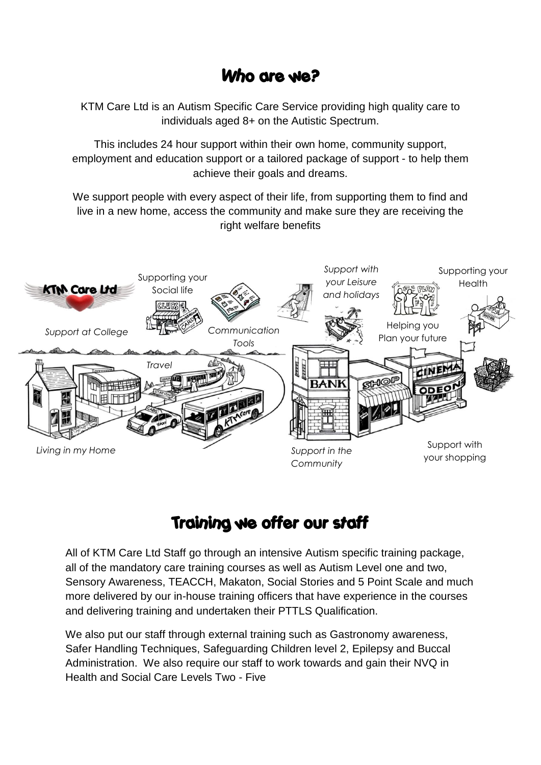## Who are we?

KTM Care Ltd is an Autism Specific Care Service providing high quality care to individuals aged 8+ on the Autistic Spectrum.

This includes 24 hour support within their own home, community support, employment and education support or a tailored package of support - to help them achieve their goals and dreams.

We support people with every aspect of their life, from supporting them to find and live in a new home, access the community and make sure they are receiving the right welfare benefits



## Training we offer our staff

All of KTM Care Ltd Staff go through an intensive Autism specific training package, all of the mandatory care training courses as well as Autism Level one and two, Sensory Awareness, TEACCH, Makaton, Social Stories and 5 Point Scale and much more delivered by our in-house training officers that have experience in the courses and delivering training and undertaken their PTTLS Qualification.

We also put our staff through external training such as Gastronomy awareness, Safer Handling Techniques, Safeguarding Children level 2, Epilepsy and Buccal Administration. We also require our staff to work towards and gain their NVQ in Health and Social Care Levels Two - Five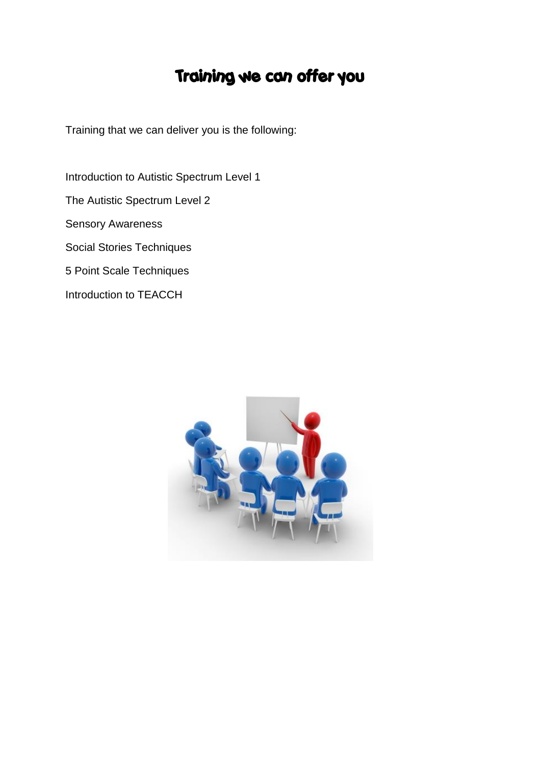## Training we can offer you

Training that we can deliver you is the following:

Introduction to Autistic Spectrum Level 1 The Autistic Spectrum Level 2 Sensory Awareness Social Stories Techniques 5 Point Scale Techniques Introduction to TEACCH

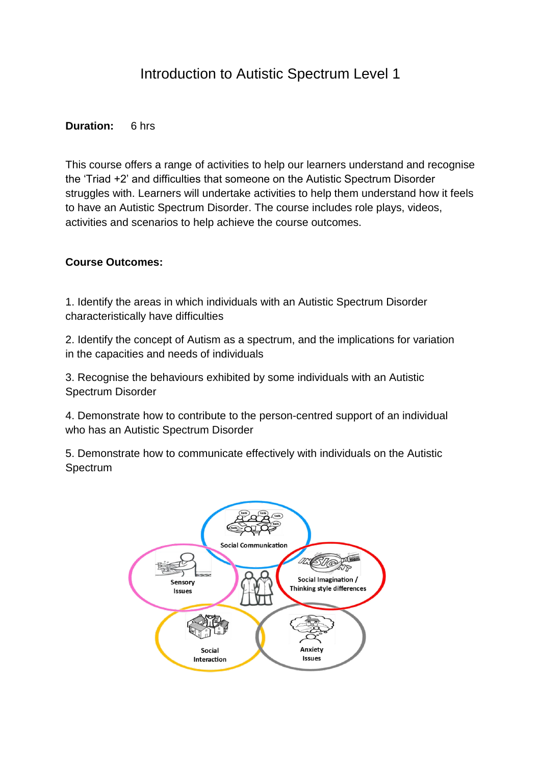## Introduction to Autistic Spectrum Level 1

#### **Duration:** 6 hrs

This course offers a range of activities to help our learners understand and recognise the 'Triad +2' and difficulties that someone on the Autistic Spectrum Disorder struggles with. Learners will undertake activities to help them understand how it feels to have an Autistic Spectrum Disorder. The course includes role plays, videos, activities and scenarios to help achieve the course outcomes.

#### **Course Outcomes:**

1. Identify the areas in which individuals with an Autistic Spectrum Disorder characteristically have difficulties

2. Identify the concept of Autism as a spectrum, and the implications for variation in the capacities and needs of individuals

3. Recognise the behaviours exhibited by some individuals with an Autistic Spectrum Disorder

4. Demonstrate how to contribute to the person-centred support of an individual who has an Autistic Spectrum Disorder

5. Demonstrate how to communicate effectively with individuals on the Autistic Spectrum

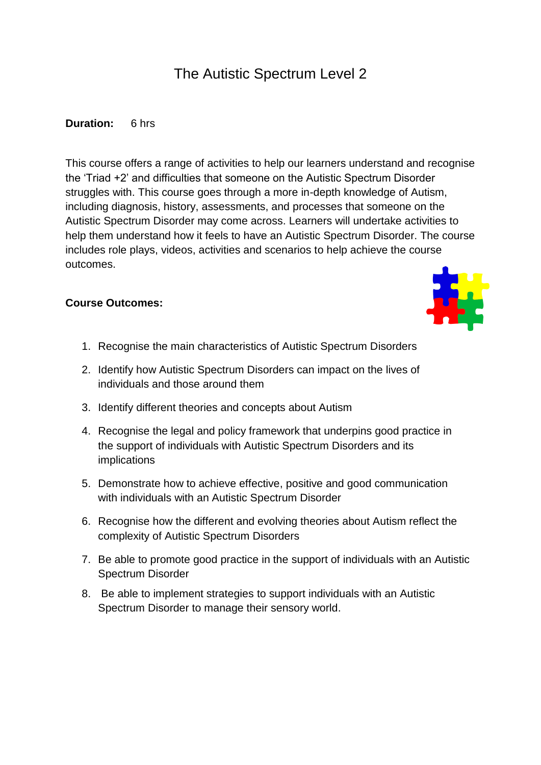## The Autistic Spectrum Level 2

#### **Duration:** 6 hrs

This course offers a range of activities to help our learners understand and recognise the 'Triad +2' and difficulties that someone on the Autistic Spectrum Disorder struggles with. This course goes through a more in-depth knowledge of Autism, including diagnosis, history, assessments, and processes that someone on the Autistic Spectrum Disorder may come across. Learners will undertake activities to help them understand how it feels to have an Autistic Spectrum Disorder. The course includes role plays, videos, activities and scenarios to help achieve the course outcomes.

#### **Course Outcomes:**



- 1. Recognise the main characteristics of Autistic Spectrum Disorders
- 2. Identify how Autistic Spectrum Disorders can impact on the lives of individuals and those around them
- 3. Identify different theories and concepts about Autism
- 4. Recognise the legal and policy framework that underpins good practice in the support of individuals with Autistic Spectrum Disorders and its implications
- 5. Demonstrate how to achieve effective, positive and good communication with individuals with an Autistic Spectrum Disorder
- 6. Recognise how the different and evolving theories about Autism reflect the complexity of Autistic Spectrum Disorders
- 7. Be able to promote good practice in the support of individuals with an Autistic Spectrum Disorder
- 8. Be able to implement strategies to support individuals with an Autistic Spectrum Disorder to manage their sensory world.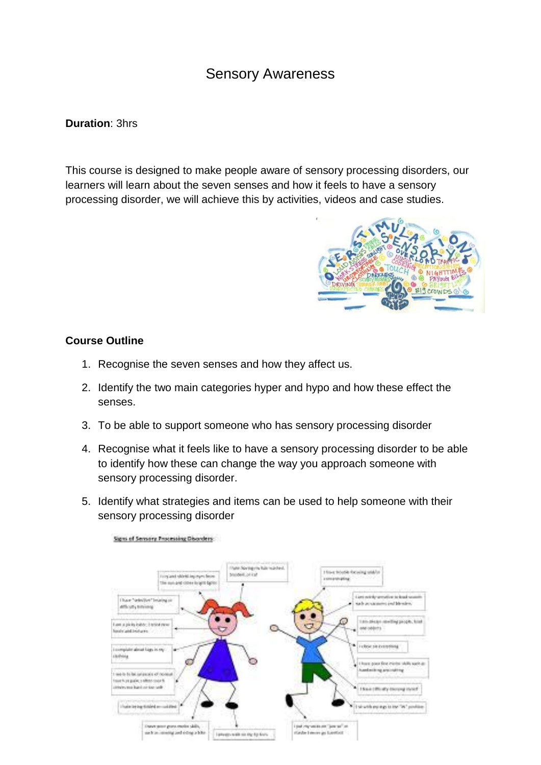## Sensory Awareness

#### **Duration**: 3hrs

This course is designed to make people aware of sensory processing disorders, our learners will learn about the seven senses and how it feels to have a sensory processing disorder, we will achieve this by activities, videos and case studies.



#### **Course Outline**

- 1. Recognise the seven senses and how they affect us.
- 2. Identify the two main categories hyper and hypo and how these effect the senses.
- 3. To be able to support someone who has sensory processing disorder
- 4. Recognise what it feels like to have a sensory processing disorder to be able to identify how these can change the way you approach someone with sensory processing disorder.
- 5. Identify what strategies and items can be used to help someone with their sensory processing disorder

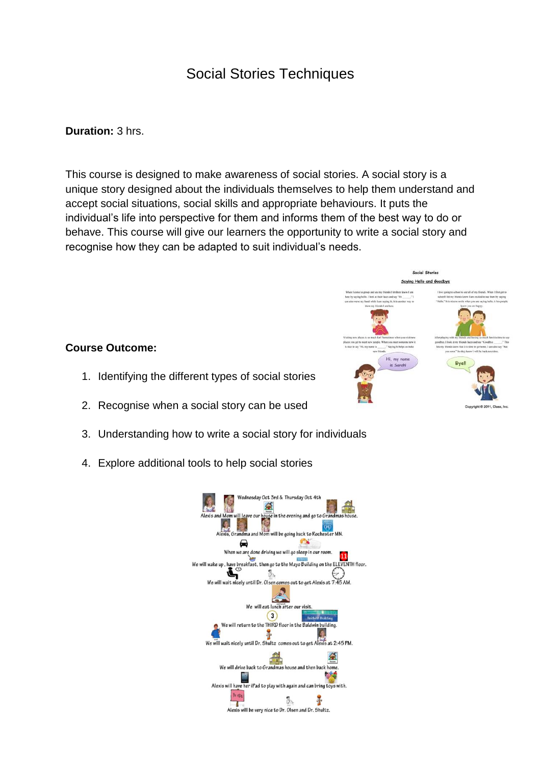## Social Stories Techniques

#### **Duration:** 3 hrs.

This course is designed to make awareness of social stories. A social story is a unique story designed about the individuals themselves to help them understand and accept social situations, social skills and appropriate behaviours. It puts the individual's life into perspective for them and informs them of the best way to do or behave. This course will give our learners the opportunity to write a social story and recognise how they can be adapted to suit individual's needs.

#### Social Stories Saying Hello and Goodbye

**Byell** 

Hi, my n

#### **Course Outcome:**

- 1. Identifying the different types of social stories
- 2. Recognise when a social story can be used
- 3. Understanding how to write a social story for individuals
- 4. Explore additional tools to help social stories

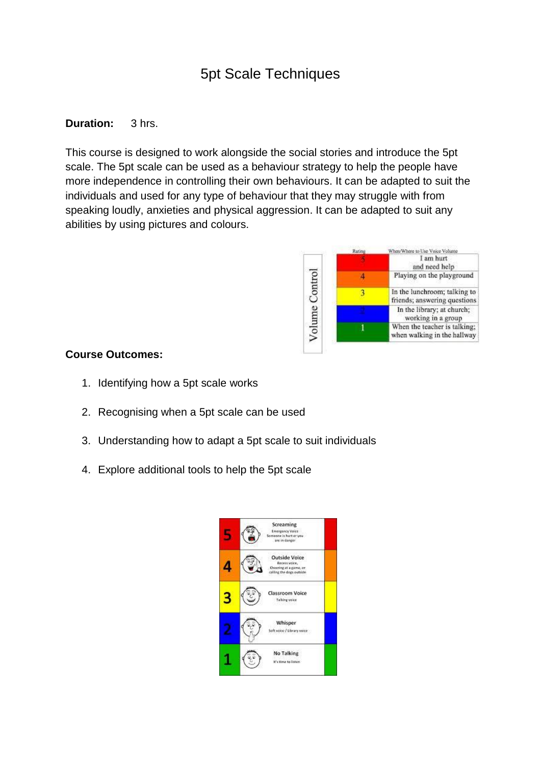## 5pt Scale Techniques

### **Duration:** 3 hrs.

This course is designed to work alongside the social stories and introduce the 5pt scale. The 5pt scale can be used as a behaviour strategy to help the people have more independence in controlling their own behaviours. It can be adapted to suit the individuals and used for any type of behaviour that they may struggle with from speaking loudly, anxieties and physical aggression. It can be adapted to suit any abilities by using pictures and colours.



#### **Course Outcomes:**

- 1. Identifying how a 5pt scale works
- 2. Recognising when a 5pt scale can be used
- 3. Understanding how to adapt a 5pt scale to suit individuals
- 4. Explore additional tools to help the 5pt scale